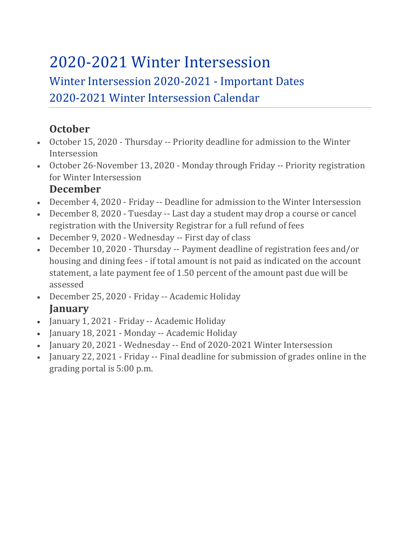## 2020-2021 Winter Intersession

## Winter Intersession 2020-2021 - Important Dates 2020-2021 Winter Intersession Calendar

## **October**

- October 15, 2020 Thursday -- Priority deadline for admission to the Winter Intersession
- October 26-November 13, 2020 Monday through Friday -- Priority registration for Winter Intersession

## **December**

- December 4, 2020 Friday -- Deadline for admission to the Winter Intersession
- December 8, 2020 Tuesday -- Last day a student may drop a course or cancel registration with the University Registrar for a full refund of fees
- December 9, 2020 Wednesday -- First day of class
- December 10, 2020 Thursday -- Payment deadline of registration fees and/or housing and dining fees - if total amount is not paid as indicated on the account statement, a late payment fee of 1.50 percent of the amount past due will be assessed
- December 25, 2020 Friday -- Academic Holiday **January**
- January 1, 2021 Friday -- Academic Holiday
- January 18, 2021 Monday -- Academic Holiday
- January 20, 2021 Wednesday -- End of 2020-2021 Winter Intersession
- January 22, 2021 Friday -- Final deadline for submission of grades online in the grading portal is 5:00 p.m.